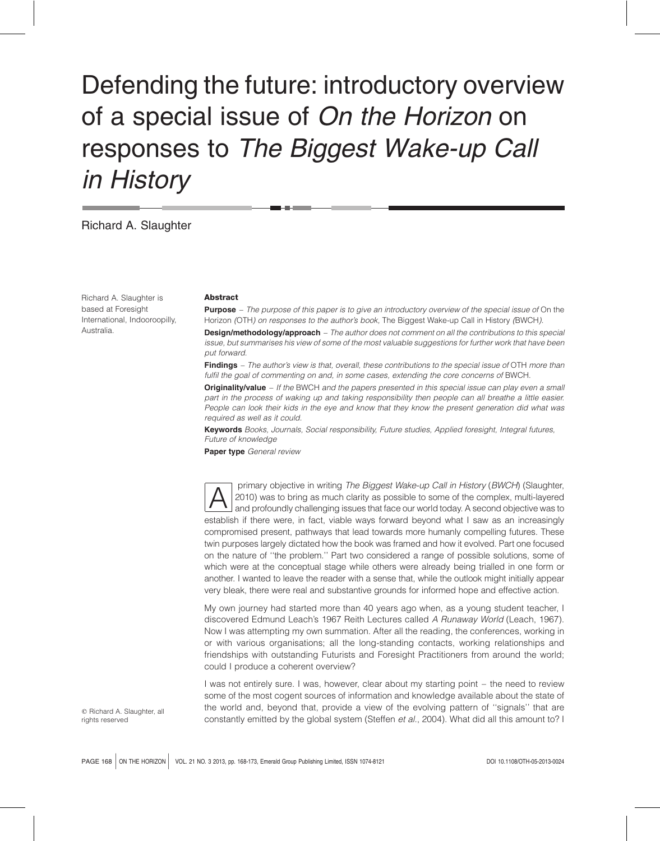# Defending the future: introductory overview of a special issue of On the Horizon on responses to The Biggest Wake-up Call in History

## Richard A. Slaughter

Richard A. Slaughter is based at Foresight International, Indooroopilly, Australia.

#### Abstract

**Purpose** – The purpose of this paper is to give an introductory overview of the special issue of On the Horizon (OTH) on responses to the author's book, The Biggest Wake-up Call in History (BWCH).

**Design/methodology/approach** – The author does not comment on all the contributions to this special issue, but summarises his view of some of the most valuable suggestions for further work that have been put forward.

Findings - The author's view is that, overall, these contributions to the special issue of OTH more than fulfil the goal of commenting on and, in some cases, extending the core concerns of BWCH.

Originality/value - If the BWCH and the papers presented in this special issue can play even a small part in the process of waking up and taking responsibility then people can all breathe a little easier. People can look their kids in the eye and know that they know the present generation did what was required as well as it could.

Keywords Books, Journals, Social responsibility, Future studies, Applied foresight, Integral futures, Future of knowledge

Paper type General review

primary objective in writing The Biggest Wake-up Call in History (BWCH) (Slaughter,<br>2010) was to bring as much clarity as possible to some of the complex, multi-layered<br>and profoundly challenging issues that face our world 2010) was to bring as much clarity as possible to some of the complex, multi-layered and profoundly challenging issues that face our world today. A second objective was to establish if there were, in fact, viable ways forward beyond what I saw as an increasingly compromised present, pathways that lead towards more humanly compelling futures. These twin purposes largely dictated how the book was framed and how it evolved. Part one focused on the nature of ''the problem.'' Part two considered a range of possible solutions, some of which were at the conceptual stage while others were already being trialled in one form or another. I wanted to leave the reader with a sense that, while the outlook might initially appear very bleak, there were real and substantive grounds for informed hope and effective action.

My own journey had started more than 40 years ago when, as a young student teacher, I discovered Edmund Leach's 1967 Reith Lectures called A Runaway World (Leach, 1967). Now I was attempting my own summation. After all the reading, the conferences, working in or with various organisations; all the long-standing contacts, working relationships and friendships with outstanding Futurists and Foresight Practitioners from around the world; could I produce a coherent overview?

I was not entirely sure. I was, however, clear about my starting point – the need to review some of the most cogent sources of information and knowledge available about the state of the world and, beyond that, provide a view of the evolving pattern of ''signals'' that are constantly emitted by the global system (Steffen et al., 2004). What did all this amount to? I

 $©$  Richard A. Slaughter, all rights reserved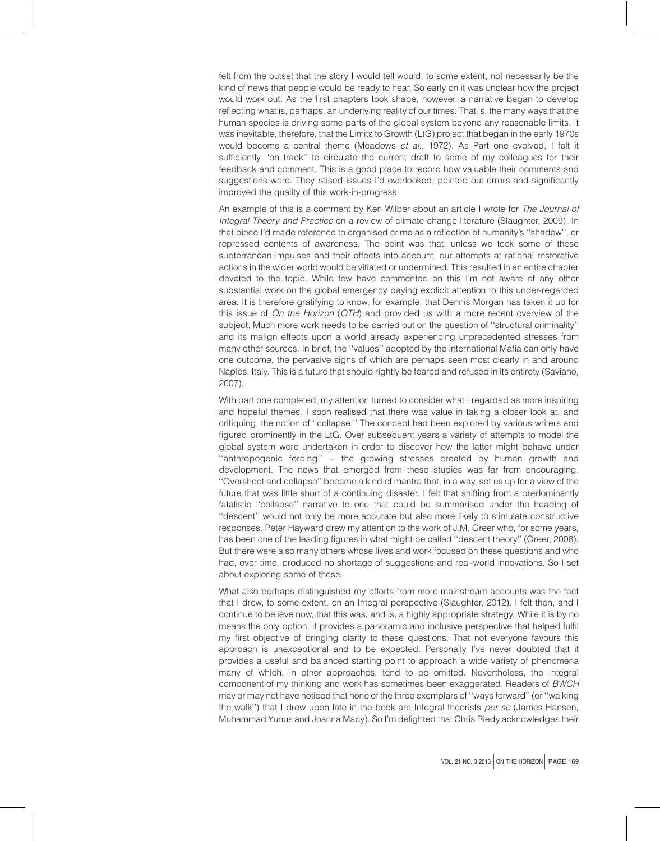felt from the outset that the story I would tell would, to some extent, not necessarily be the kind of news that people would be ready to hear. So early on it was unclear how the project would work out. As the first chapters took shape, however, a narrative began to develop reflecting what is, perhaps, an underlying reality of our times. That is, the many ways that the human species is driving some parts of the global system beyond any reasonable limits. It was inevitable, therefore, that the Limits to Growth (LtG) project that began in the early 1970s would become a central theme (Meadows et al., 1972). As Part one evolved, I felt it sufficiently ''on track'' to circulate the current draft to some of my colleagues for their feedback and comment. This is a good place to record how valuable their comments and suggestions were. They raised issues I'd overlooked, pointed out errors and significantly improved the quality of this work-in-progress.

An example of this is a comment by Ken Wilber about an article I wrote for The Journal of Integral Theory and Practice on a review of climate change literature (Slaughter, 2009). In that piece I'd made reference to organised crime as a reflection of humanity's ''shadow'', or repressed contents of awareness. The point was that, unless we took some of these subterranean impulses and their effects into account, our attempts at rational restorative actions in the wider world would be vitiated or undermined. This resulted in an entire chapter devoted to the topic. While few have commented on this I'm not aware of any other substantial work on the global emergency paying explicit attention to this under-regarded area. It is therefore gratifying to know, for example, that Dennis Morgan has taken it up for this issue of On the Horizon (OTH) and provided us with a more recent overview of the subject. Much more work needs to be carried out on the question of ''structural criminality'' and its malign effects upon a world already experiencing unprecedented stresses from many other sources. In brief, the ''values'' adopted by the international Mafia can only have one outcome, the pervasive signs of which are perhaps seen most clearly in and around Naples, Italy. This is a future that should rightly be feared and refused in its entirety (Saviano, 2007).

With part one completed, my attention turned to consider what I regarded as more inspiring and hopeful themes. I soon realised that there was value in taking a closer look at, and critiquing, the notion of ''collapse.'' The concept had been explored by various writers and figured prominently in the LtG. Over subsequent years a variety of attempts to model the global system were undertaken in order to discover how the latter might behave under ''anthropogenic forcing'' – the growing stresses created by human growth and development. The news that emerged from these studies was far from encouraging. ''Overshoot and collapse'' became a kind of mantra that, in a way, set us up for a view of the future that was little short of a continuing disaster. I felt that shifting from a predominantly fatalistic ''collapse'' narrative to one that could be summarised under the heading of ''descent'' would not only be more accurate but also more likely to stimulate constructive responses. Peter Hayward drew my attention to the work of J.M. Greer who, for some years, has been one of the leading figures in what might be called ''descent theory'' (Greer, 2008). But there were also many others whose lives and work focused on these questions and who had, over time, produced no shortage of suggestions and real-world innovations. So I set about exploring some of these.

What also perhaps distinguished my efforts from more mainstream accounts was the fact that I drew, to some extent, on an Integral perspective (Slaughter, 2012). I felt then, and I continue to believe now, that this was, and is, a highly appropriate strategy. While it is by no means the only option, it provides a panoramic and inclusive perspective that helped fulfil my first objective of bringing clarity to these questions. That not everyone favours this approach is unexceptional and to be expected. Personally I've never doubted that it provides a useful and balanced starting point to approach a wide variety of phenomena many of which, in other approaches, tend to be omitted. Nevertheless, the Integral component of my thinking and work has sometimes been exaggerated. Readers of BWCH may or may not have noticed that none of the three exemplars of ''ways forward'' (or ''walking the walk") that I drew upon late in the book are Integral theorists per se (James Hansen, Muhammad Yunus and Joanna Macy). So I'm delighted that Chris Riedy acknowledges their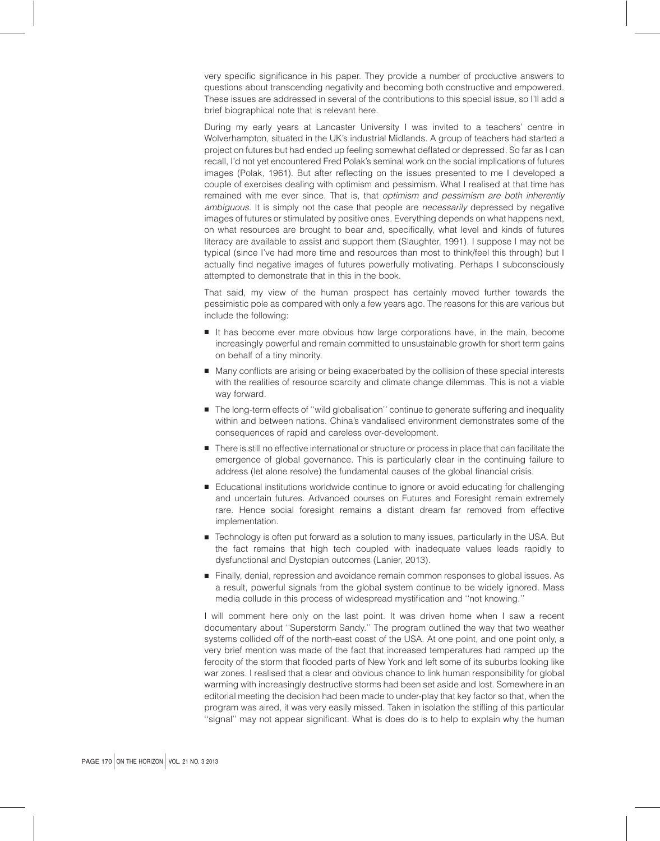very specific significance in his paper. They provide a number of productive answers to questions about transcending negativity and becoming both constructive and empowered. These issues are addressed in several of the contributions to this special issue, so I'll add a brief biographical note that is relevant here.

During my early years at Lancaster University I was invited to a teachers' centre in Wolverhampton, situated in the UK's industrial Midlands. A group of teachers had started a project on futures but had ended up feeling somewhat deflated or depressed. So far as I can recall, I'd not yet encountered Fred Polak's seminal work on the social implications of futures images (Polak, 1961). But after reflecting on the issues presented to me I developed a couple of exercises dealing with optimism and pessimism. What I realised at that time has remained with me ever since. That is, that optimism and pessimism are both inherently ambiguous. It is simply not the case that people are necessarily depressed by negative images of futures or stimulated by positive ones. Everything depends on what happens next, on what resources are brought to bear and, specifically, what level and kinds of futures literacy are available to assist and support them (Slaughter, 1991). I suppose I may not be typical (since I've had more time and resources than most to think/feel this through) but I actually find negative images of futures powerfully motivating. Perhaps I subconsciously attempted to demonstrate that in this in the book.

That said, my view of the human prospect has certainly moved further towards the pessimistic pole as compared with only a few years ago. The reasons for this are various but include the following:

- It has become ever more obvious how large corporations have, in the main, become increasingly powerful and remain committed to unsustainable growth for short term gains on behalf of a tiny minority.
- <sup>B</sup> Many conflicts are arising or being exacerbated by the collision of these special interests with the realities of resource scarcity and climate change dilemmas. This is not a viable way forward.
- **B** The long-term effects of "wild globalisation" continue to generate suffering and inequality within and between nations. China's vandalised environment demonstrates some of the consequences of rapid and careless over-development.
- **B** There is still no effective international or structure or process in place that can facilitate the emergence of global governance. This is particularly clear in the continuing failure to address (let alone resolve) the fundamental causes of the global financial crisis.
- **B** Educational institutions worldwide continue to ignore or avoid educating for challenging and uncertain futures. Advanced courses on Futures and Foresight remain extremely rare. Hence social foresight remains a distant dream far removed from effective implementation.
- **F** Technology is often put forward as a solution to many issues, particularly in the USA. But the fact remains that high tech coupled with inadequate values leads rapidly to dysfunctional and Dystopian outcomes (Lanier, 2013).
- **Finally, denial, repression and avoidance remain common responses to global issues. As** a result, powerful signals from the global system continue to be widely ignored. Mass media collude in this process of widespread mystification and ''not knowing.''

I will comment here only on the last point. It was driven home when I saw a recent documentary about ''Superstorm Sandy.'' The program outlined the way that two weather systems collided off of the north-east coast of the USA. At one point, and one point only, a very brief mention was made of the fact that increased temperatures had ramped up the ferocity of the storm that flooded parts of New York and left some of its suburbs looking like war zones. I realised that a clear and obvious chance to link human responsibility for global warming with increasingly destructive storms had been set aside and lost. Somewhere in an editorial meeting the decision had been made to under-play that key factor so that, when the program was aired, it was very easily missed. Taken in isolation the stifling of this particular ''signal'' may not appear significant. What is does do is to help to explain why the human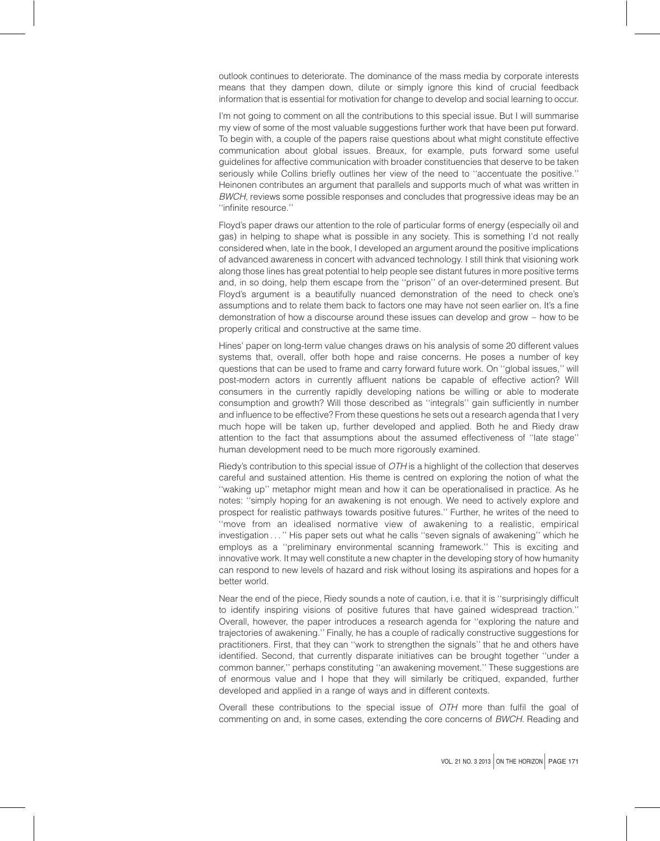outlook continues to deteriorate. The dominance of the mass media by corporate interests means that they dampen down, dilute or simply ignore this kind of crucial feedback information that is essential for motivation for change to develop and social learning to occur.

I'm not going to comment on all the contributions to this special issue. But I will summarise my view of some of the most valuable suggestions further work that have been put forward. To begin with, a couple of the papers raise questions about what might constitute effective communication about global issues. Breaux, for example, puts forward some useful guidelines for affective communication with broader constituencies that deserve to be taken seriously while Collins briefly outlines her view of the need to ''accentuate the positive.'' Heinonen contributes an argument that parallels and supports much of what was written in BWCH, reviews some possible responses and concludes that progressive ideas may be an ''infinite resource.''

Floyd's paper draws our attention to the role of particular forms of energy (especially oil and gas) in helping to shape what is possible in any society. This is something I'd not really considered when, late in the book, I developed an argument around the positive implications of advanced awareness in concert with advanced technology. I still think that visioning work along those lines has great potential to help people see distant futures in more positive terms and, in so doing, help them escape from the ''prison'' of an over-determined present. But Floyd's argument is a beautifully nuanced demonstration of the need to check one's assumptions and to relate them back to factors one may have not seen earlier on. It's a fine demonstration of how a discourse around these issues can develop and grow – how to be properly critical and constructive at the same time.

Hines' paper on long-term value changes draws on his analysis of some 20 different values systems that, overall, offer both hope and raise concerns. He poses a number of key questions that can be used to frame and carry forward future work. On ''global issues,'' will post-modern actors in currently affluent nations be capable of effective action? Will consumers in the currently rapidly developing nations be willing or able to moderate consumption and growth? Will those described as ''integrals'' gain sufficiently in number and influence to be effective? From these questions he sets out a research agenda that I very much hope will be taken up, further developed and applied. Both he and Riedy draw attention to the fact that assumptions about the assumed effectiveness of ''late stage'' human development need to be much more rigorously examined.

Riedy's contribution to this special issue of OTH is a highlight of the collection that deserves careful and sustained attention. His theme is centred on exploring the notion of what the ''waking up'' metaphor might mean and how it can be operationalised in practice. As he notes: ''simply hoping for an awakening is not enough. We need to actively explore and prospect for realistic pathways towards positive futures.'' Further, he writes of the need to ''move from an idealised normative view of awakening to a realistic, empirical investigation . . . '' His paper sets out what he calls ''seven signals of awakening'' which he employs as a ''preliminary environmental scanning framework.'' This is exciting and innovative work. It may well constitute a new chapter in the developing story of how humanity can respond to new levels of hazard and risk without losing its aspirations and hopes for a better world.

Near the end of the piece, Riedy sounds a note of caution, i.e. that it is ''surprisingly difficult to identify inspiring visions of positive futures that have gained widespread traction.'' Overall, however, the paper introduces a research agenda for ''exploring the nature and trajectories of awakening.'' Finally, he has a couple of radically constructive suggestions for practitioners. First, that they can ''work to strengthen the signals'' that he and others have identified. Second, that currently disparate initiatives can be brought together ''under a common banner,'' perhaps constituting ''an awakening movement.'' These suggestions are of enormous value and I hope that they will similarly be critiqued, expanded, further developed and applied in a range of ways and in different contexts.

Overall these contributions to the special issue of OTH more than fulfil the goal of commenting on and, in some cases, extending the core concerns of BWCH. Reading and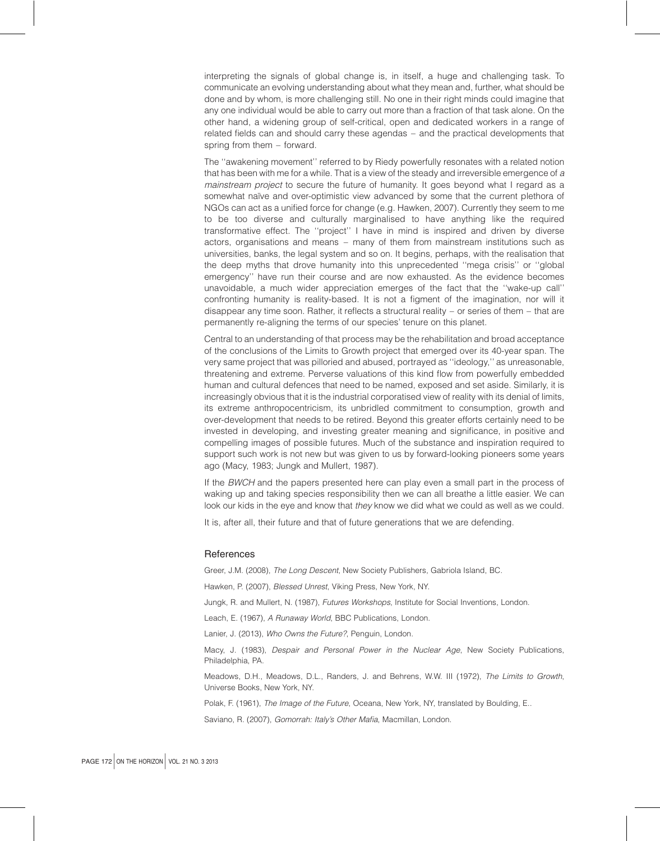interpreting the signals of global change is, in itself, a huge and challenging task. To communicate an evolving understanding about what they mean and, further, what should be done and by whom, is more challenging still. No one in their right minds could imagine that any one individual would be able to carry out more than a fraction of that task alone. On the other hand, a widening group of self-critical, open and dedicated workers in a range of related fields can and should carry these agendas – and the practical developments that spring from them – forward.

The ''awakening movement'' referred to by Riedy powerfully resonates with a related notion that has been with me for a while. That is a view of the steady and irreversible emergence of a mainstream project to secure the future of humanity. It goes beyond what I regard as a somewhat naïve and over-optimistic view advanced by some that the current plethora of NGOs can act as a unified force for change (e.g. Hawken, 2007). Currently they seem to me to be too diverse and culturally marginalised to have anything like the required transformative effect. The ''project'' I have in mind is inspired and driven by diverse actors, organisations and means – many of them from mainstream institutions such as universities, banks, the legal system and so on. It begins, perhaps, with the realisation that the deep myths that drove humanity into this unprecedented ''mega crisis'' or ''global emergency'' have run their course and are now exhausted. As the evidence becomes unavoidable, a much wider appreciation emerges of the fact that the ''wake-up call'' confronting humanity is reality-based. It is not a figment of the imagination, nor will it disappear any time soon. Rather, it reflects a structural reality – or series of them – that are permanently re-aligning the terms of our species' tenure on this planet.

Central to an understanding of that process may be the rehabilitation and broad acceptance of the conclusions of the Limits to Growth project that emerged over its 40-year span. The very same project that was pilloried and abused, portrayed as ''ideology,'' as unreasonable, threatening and extreme. Perverse valuations of this kind flow from powerfully embedded human and cultural defences that need to be named, exposed and set aside. Similarly, it is increasingly obvious that it is the industrial corporatised view of reality with its denial of limits, its extreme anthropocentricism, its unbridled commitment to consumption, growth and over-development that needs to be retired. Beyond this greater efforts certainly need to be invested in developing, and investing greater meaning and significance, in positive and compelling images of possible futures. Much of the substance and inspiration required to support such work is not new but was given to us by forward-looking pioneers some years ago (Macy, 1983; Jungk and Mullert, 1987).

If the BWCH and the papers presented here can play even a small part in the process of waking up and taking species responsibility then we can all breathe a little easier. We can look our kids in the eye and know that they know we did what we could as well as we could.

It is, after all, their future and that of future generations that we are defending.

#### **References**

Greer, J.M. (2008), The Long Descent, New Society Publishers, Gabriola Island, BC.

Hawken, P. (2007), Blessed Unrest, Viking Press, New York, NY.

Jungk, R. and Mullert, N. (1987), Futures Workshops, Institute for Social Inventions, London.

Leach, E. (1967), A Runaway World, BBC Publications, London.

Lanier, J. (2013), Who Owns the Future?, Penguin, London.

Macy, J. (1983), Despair and Personal Power in the Nuclear Age, New Society Publications, Philadelphia, PA.

Meadows, D.H., Meadows, D.L., Randers, J. and Behrens, W.W. III (1972), The Limits to Growth, Universe Books, New York, NY.

Polak, F. (1961), The Image of the Future, Oceana, New York, NY, translated by Boulding, E..

Saviano, R. (2007), Gomorrah: Italy's Other Mafia, Macmillan, London.